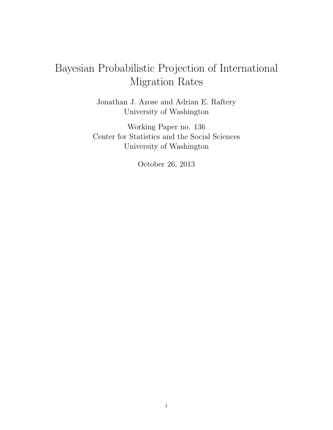# Bayesian Probabilistic Projection of International Migration Rates

Jonathan J. Azose and Adrian E. Raftery University of Washington

Working Paper no. 136 Center for Statistics and the Social Sciences University of Washington

October 26, 2013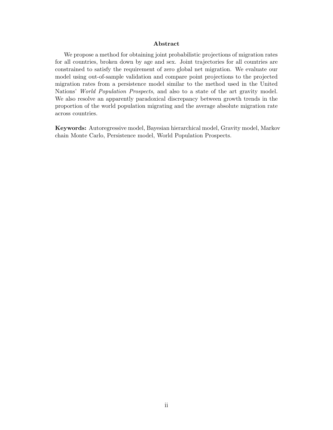#### Abstract

We propose a method for obtaining joint probabilistic projections of migration rates for all countries, broken down by age and sex. Joint trajectories for all countries are constrained to satisfy the requirement of zero global net migration. We evaluate our model using out-of-sample validation and compare point projections to the projected migration rates from a persistence model similar to the method used in the United Nations' World Population Prospects, and also to a state of the art gravity model. We also resolve an apparently paradoxical discrepancy between growth trends in the proportion of the world population migrating and the average absolute migration rate across countries.

Keywords: Autoregressive model, Bayesian hierarchical model, Gravity model, Markov chain Monte Carlo, Persistence model, World Population Prospects.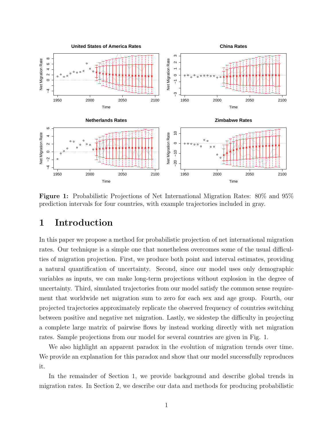

Figure 1: Probabilistic Projections of Net International Migration Rates: 80% and 95% prediction intervals for four countries, with example trajectories included in gray.

# 1 Introduction

In this paper we propose a method for probabilistic projection of net international migration rates. Our technique is a simple one that nonetheless overcomes some of the usual difficulties of migration projection. First, we produce both point and interval estimates, providing a natural quantification of uncertainty. Second, since our model uses only demographic variables as inputs, we can make long-term projections without explosion in the degree of uncertainty. Third, simulated trajectories from our model satisfy the common sense requirement that worldwide net migration sum to zero for each sex and age group. Fourth, our projected trajectories approximately replicate the observed frequency of countries switching between positive and negative net migration. Lastly, we sidestep the difficulty in projecting a complete large matrix of pairwise flows by instead working directly with net migration rates. Sample projections from our model for several countries are given in Fig. 1.

We also highlight an apparent paradox in the evolution of migration trends over time. We provide an explanation for this paradox and show that our model successfully reproduces it.

In the remainder of Section 1, we provide background and describe global trends in migration rates. In Section 2, we describe our data and methods for producing probabilistic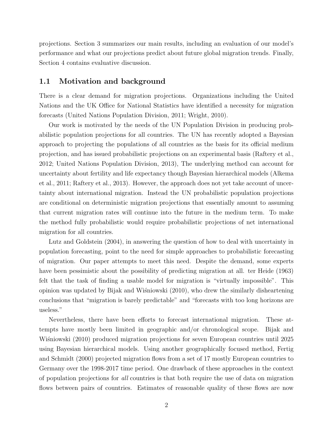projections. Section 3 summarizes our main results, including an evaluation of our model's performance and what our projections predict about future global migration trends. Finally, Section 4 contains evaluative discussion.

### 1.1 Motivation and background

There is a clear demand for migration projections. Organizations including the United Nations and the UK Office for National Statistics have identified a necessity for migration forecasts (United Nations Population Division, 2011; Wright, 2010).

Our work is motivated by the needs of the UN Population Division in producing probabilistic population projections for all countries. The UN has recently adopted a Bayesian approach to projecting the populations of all countries as the basis for its official medium projection, and has issued probabilistic projections on an experimental basis (Raftery et al., 2012; United Nations Population Division, 2013), The underlying method can account for uncertainty about fertility and life expectancy though Bayesian hierarchical models (Alkema et al., 2011; Raftery et al., 2013). However, the approach does not yet take account of uncertainty about international migration. Instead the UN probabilistic population projections are conditional on deterministic migration projections that essentially amount to assuming that current migration rates will continue into the future in the medium term. To make the method fully probabilistic would require probabilistic projections of net international migration for all countries.

Lutz and Goldstein (2004), in answering the question of how to deal with uncertainty in population forecasting, point to the need for simple approaches to probabilistic forecasting of migration. Our paper attempts to meet this need. Despite the demand, some experts have been pessimistic about the possibility of predicting migration at all. ter Heide (1963) felt that the task of finding a usable model for migration is "virtually impossible". This opinion was updated by Bijak and Wisniowski  $(2010)$ , who drew the similarly disheartening conclusions that "migration is barely predictable" and "forecasts with too long horizons are useless."

Nevertheless, there have been efforts to forecast international migration. These attempts have mostly been limited in geographic and/or chronological scope. Bijak and Wisniowski (2010) produced migration projections for seven European countries until 2025 using Bayesian hierarchical models. Using another geographically focused method, Fertig and Schmidt (2000) projected migration flows from a set of 17 mostly European countries to Germany over the 1998-2017 time period. One drawback of these approaches in the context of population projections for all countries is that both require the use of data on migration flows between pairs of countries. Estimates of reasonable quality of these flows are now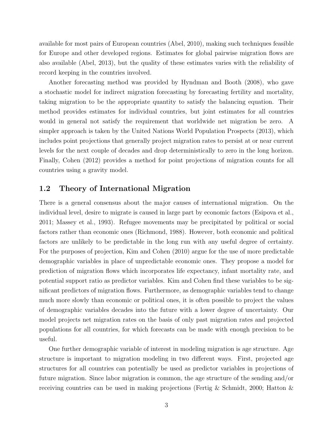available for most pairs of European countries (Abel, 2010), making such techniques feasible for Europe and other developed regions. Estimates for global pairwise migration flows are also available (Abel, 2013), but the quality of these estimates varies with the reliability of record keeping in the countries involved.

Another forecasting method was provided by Hyndman and Booth (2008), who gave a stochastic model for indirect migration forecasting by forecasting fertility and mortality, taking migration to be the appropriate quantity to satisfy the balancing equation. Their method provides estimates for individual countries, but joint estimates for all countries would in general not satisfy the requirement that worldwide net migration be zero. A simpler approach is taken by the United Nations World Population Prospects (2013), which includes point projections that generally project migration rates to persist at or near current levels for the next couple of decades and drop deterministically to zero in the long horizon. Finally, Cohen (2012) provides a method for point projections of migration counts for all countries using a gravity model.

### 1.2 Theory of International Migration

There is a general consensus about the major causes of international migration. On the individual level, desire to migrate is caused in large part by economic factors (Esipova et al., 2011; Massey et al., 1993). Refugee movements may be precipitated by political or social factors rather than economic ones (Richmond, 1988). However, both economic and political factors are unlikely to be predictable in the long run with any useful degree of certainty. For the purposes of projection, Kim and Cohen (2010) argue for the use of more predictable demographic variables in place of unpredictable economic ones. They propose a model for prediction of migration flows which incorporates life expectancy, infant mortality rate, and potential support ratio as predictor variables. Kim and Cohen find these variables to be significant predictors of migration flows. Furthermore, as demographic variables tend to change much more slowly than economic or political ones, it is often possible to project the values of demographic variables decades into the future with a lower degree of uncertainty. Our model projects net migration rates on the basis of only past migration rates and projected populations for all countries, for which forecasts can be made with enough precision to be useful.

One further demographic variable of interest in modeling migration is age structure. Age structure is important to migration modeling in two different ways. First, projected age structures for all countries can potentially be used as predictor variables in projections of future migration. Since labor migration is common, the age structure of the sending and/or receiving countries can be used in making projections (Fertig & Schmidt, 2000; Hatton &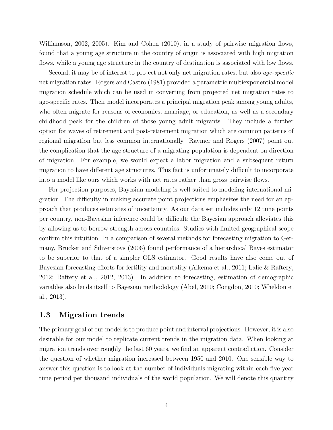Williamson, 2002, 2005). Kim and Cohen (2010), in a study of pairwise migration flows, found that a young age structure in the country of origin is associated with high migration flows, while a young age structure in the country of destination is associated with low flows.

Second, it may be of interest to project not only net migration rates, but also *age-specific* net migration rates. Rogers and Castro (1981) provided a parametric multiexponential model migration schedule which can be used in converting from projected net migration rates to age-specific rates. Their model incorporates a principal migration peak among young adults, who often migrate for reasons of economics, marriage, or education, as well as a secondary childhood peak for the children of those young adult migrants. They include a further option for waves of retirement and post-retirement migration which are common patterns of regional migration but less common internationally. Raymer and Rogers (2007) point out the complication that the age structure of a migrating population is dependent on direction of migration. For example, we would expect a labor migration and a subsequent return migration to have different age structures. This fact is unfortunately difficult to incorporate into a model like ours which works with net rates rather than gross pairwise flows.

For projection purposes, Bayesian modeling is well suited to modeling international migration. The difficulty in making accurate point projections emphasizes the need for an approach that produces estimates of uncertainty. As our data set includes only 12 time points per country, non-Bayesian inference could be difficult; the Bayesian approach alleviates this by allowing us to borrow strength across countries. Studies with limited geographical scope confirm this intuition. In a comparison of several methods for forecasting migration to Germany, Brücker and Siliverstovs (2006) found performance of a hierarchical Bayes estimator to be superior to that of a simpler OLS estimator. Good results have also come out of Bayesian forecasting efforts for fertility and mortality (Alkema et al., 2011; Lalic & Raftery, 2012; Raftery et al., 2012, 2013). In addition to forecasting, estimation of demographic variables also lends itself to Bayesian methodology (Abel, 2010; Congdon, 2010; Wheldon et al., 2013).

#### 1.3 Migration trends

The primary goal of our model is to produce point and interval projections. However, it is also desirable for our model to replicate current trends in the migration data. When looking at migration trends over roughly the last 60 years, we find an apparent contradiction. Consider the question of whether migration increased between 1950 and 2010. One sensible way to answer this question is to look at the number of individuals migrating within each five-year time period per thousand individuals of the world population. We will denote this quantity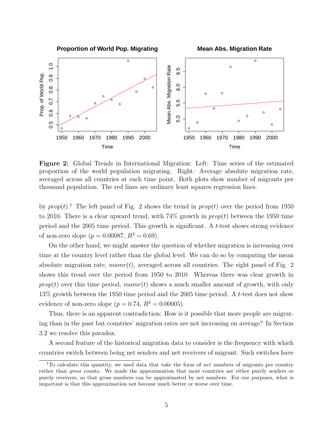

Figure 2: Global Trends in International Migration: Left: Time series of the estimated proportion of the world population migrating. Right: Average absolute migration rate, averaged across all countries at each time point. Both plots show number of migrants per thousand population. The red lines are ordinary least squares regression lines.

by  $prop(t)$ .<sup>1</sup> The left panel of Fig. 2 shows the trend in  $prop(t)$  over the period from 1950 to 2010. There is a clear upward trend, with  $74\%$  growth in  $prop(t)$  between the 1950 time period and the 2005 time period. This growth is significant. A t-test shows strong evidence of non-zero slope ( $p = 0.00087$ ,  $R^2 = 0.69$ ).

On the other hand, we might answer the question of whether migration is increasing over time at the country level rather than the global level. We can do so by computing the mean absolute migration rate,  $mamr(t)$ , averaged across all countries. The right panel of Fig. 2 shows this trend over the period from 1950 to 2010. Whereas there was clear growth in  $prop(t)$  over this time period,  $mamr(t)$  shows a much smaller amount of growth, with only 13% growth between the 1950 time period and the 2005 time period. A t-test does not show evidence of non-zero slope ( $p = 0.74$ ,  $R^2 = 0.00005$ ).

Thus, there is an apparent contradiction: How is it possible that more people are migrating than in the past but countries' migration rates are not increasing on average? In Section 3.2 we resolve this paradox.

A second feature of the historical migration data to consider is the frequency with which countries switch between being net senders and net receivers of migrant. Such switches have

<sup>&</sup>lt;sup>1</sup>To calculate this quantity, we used data that take the form of net numbers of migrants per country rather than gross counts. We made the approximation that most countries are either purely senders or purely receivers, so that gross numbers can be approximated by net numbers. For our purposes, what is important is that this approximation not become much better or worse over time.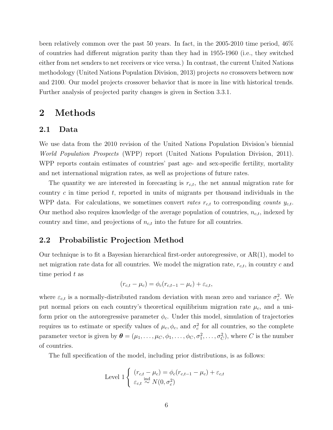been relatively common over the past 50 years. In fact, in the 2005-2010 time period, 46% of countries had different migration parity than they had in 1955-1960 (i.e., they switched either from net senders to net receivers or vice versa.) In contrast, the current United Nations methodology (United Nations Population Division, 2013) projects no crossovers between now and 2100. Our model projects crossover behavior that is more in line with historical trends. Further analysis of projected parity changes is given in Section 3.3.1.

## 2 Methods

#### 2.1 Data

We use data from the 2010 revision of the United Nations Population Division's biennial World Population Prospects (WPP) report (United Nations Population Division, 2011). WPP reports contain estimates of countries' past age- and sex-specific fertility, mortality and net international migration rates, as well as projections of future rates.

The quantity we are interested in forecasting is  $r_{c,t}$ , the net annual migration rate for country c in time period t, reported in units of migrants per thousand individuals in the WPP data. For calculations, we sometimes convert rates  $r_{c,t}$  to corresponding counts  $y_{c,t}$ . Our method also requires knowledge of the average population of countries,  $n_{c,t}$ , indexed by country and time, and projections of  $n_{c,t}$  into the future for all countries.

### 2.2 Probabilistic Projection Method

Our technique is to fit a Bayesian hierarchical first-order autoregressive, or AR(1), model to net migration rate data for all countries. We model the migration rate,  $r_{c,t}$ , in country c and time period  $t$  as

$$
(r_{c,t} - \mu_c) = \phi_c (r_{c,t-1} - \mu_c) + \varepsilon_{c,t},
$$

where  $\varepsilon_{c,t}$  is a normally-distributed random deviation with mean zero and variance  $\sigma_c^2$ . We put normal priors on each country's theoretical equilibrium migration rate  $\mu_c$ , and a uniform prior on the autoregressive parameter  $\phi_c$ . Under this model, simulation of trajectories requires us to estimate or specify values of  $\mu_c, \phi_c$ , and  $\sigma_c^2$  for all countries, so the complete parameter vector is given by  $\boldsymbol{\theta} = (\mu_1, \dots, \mu_C, \phi_1, \dots, \phi_C, \sigma_1^2, \dots, \sigma_C^2)$ , where C is the number of countries.

The full specification of the model, including prior distributions, is as follows:

Level 1 
$$
\begin{cases} (r_{c,t} - \mu_c) = \phi_c (r_{c,t-1} - \mu_c) + \varepsilon_{c,t} \\ \varepsilon_{c,t} \stackrel{\text{ind}}{\sim} N(0, \sigma_c^2) \end{cases}
$$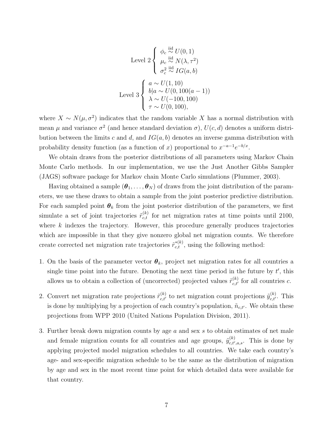Level 2 
$$
\begin{cases} \phi_c \stackrel{\text{iid}}{\sim} U(0,1) \\ \mu_c \stackrel{\text{iid}}{\sim} N(\lambda, \tau^2) \\ \sigma_c^2 \stackrel{\text{iid}}{\sim} IG(a, b) \end{cases}
$$
  
Level 3 
$$
\begin{cases} a \sim U(1, 10) \\ b|a \sim U(0, 100(a-1)) \\ \lambda \sim U(-100, 100) \\ \tau \sim U(0, 100), \end{cases}
$$

where  $X \sim N(\mu, \sigma^2)$  indicates that the random variable X has a normal distribution with mean  $\mu$  and variance  $\sigma^2$  (and hence standard deviation  $\sigma$ ),  $U(c, d)$  denotes a uniform distribution between the limits c and d, and  $IG(a, b)$  denotes an inverse gamma distribution with probability density function (as a function of x) proportional to  $x^{-a-1}e^{-b/x}$ .

We obtain draws from the posterior distributions of all parameters using Markov Chain Monte Carlo methods. In our implementation, we use the Just Another Gibbs Sampler (JAGS) software package for Markov chain Monte Carlo simulations (Plummer, 2003).

Having obtained a sample  $(\theta_1, \ldots, \theta_N)$  of draws from the joint distribution of the parameters, we use these draws to obtain a sample from the joint posterior predictive distribution. For each sampled point  $\theta_k$  from the joint posterior distribution of the parameters, we first simulate a set of joint trajectories  $\tilde{r}_{c,t}^{(k)}$  for net migration rates at time points until 2100, where  $k$  indexes the trajectory. However, this procedure generally produces trajectories which are impossible in that they give nonzero global net migration counts. We therefore create corrected net migration rate trajectories  $\tilde{r}_{c,t}^{*(k)}$ , using the following method:

- 1. On the basis of the parameter vector  $\theta_k$ , project net migration rates for all countries a single time point into the future. Denoting the next time period in the future by  $t'$ , this allows us to obtain a collection of (uncorrected) projected values  $\tilde{r}_{c,t'}^{(k)}$  for all countries c.
- 2. Convert net migration rate projections  $\tilde{r}_{c,t'}^{(k)}$  to net migration count projections  $\tilde{y}_{c,t'}^{(k)}$ . This is done by multiplying by a projection of each country's population,  $\tilde{n}_{c,t'}$ . We obtain these projections from WPP 2010 (United Nations Population Division, 2011).
- 3. Further break down migration counts by age a and sex s to obtain estimates of net male and female migration counts for all countries and age groups,  $\tilde{y}_{c,t'}^{(k)}$  ${}_{c,t',a,s}^{(\kappa)}$ . This is done by applying projected model migration schedules to all countries. We take each country's age- and sex-specific migration schedule to be the same as the distribution of migration by age and sex in the most recent time point for which detailed data were available for that country.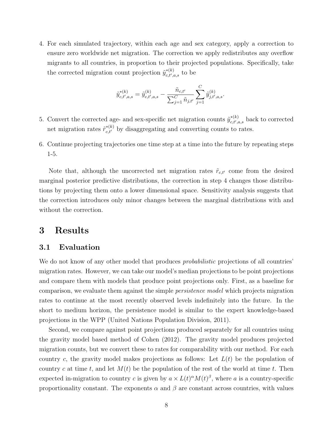4. For each simulated trajectory, within each age and sex category, apply a correction to ensure zero worldwide net migration. The correction we apply redistributes any overflow migrants to all countries, in proportion to their projected populations. Specifically, take the corrected migration count projection  $\tilde{y}_{c,t',k}^{*(k)}$  $_{c,t^{\prime},a,s}^{*(\kappa)}$  to be

$$
\tilde{y}_{c,t',a,s}^{*(k)} = \tilde{y}_{c,t',a,s}^{(k)} - \frac{\tilde{n}_{c,t'}}{\sum_{j=1}^{C}\tilde{n}_{j,t'}} \sum_{j=1}^{C}\tilde{y}_{j,t',a,s}^{(k)}.
$$

- 5. Convert the corrected age- and sex-specific net migration counts  $\tilde{y}_{c}^{*(k)}$  ${}_{c,t',a,s}^{*(\kappa)}$  back to corrected net migration rates  $\tilde{r}_{c,t'}^{*(k)}$  by disaggregating and converting counts to rates.
- 6. Continue projecting trajectories one time step at a time into the future by repeating steps 1-5.

Note that, although the uncorrected net migration rates  $\tilde{r}_{c,t'}$  come from the desired marginal posterior predictive distributions, the correction in step 4 changes those distributions by projecting them onto a lower dimensional space. Sensitivity analysis suggests that the correction introduces only minor changes between the marginal distributions with and without the correction.

# 3 Results

### 3.1 Evaluation

We do not know of any other model that produces *probabilistic* projections of all countries migration rates. However, we can take our model's median projections to be point projections and compare them with models that produce point projections only. First, as a baseline for comparison, we evaluate them against the simple persistence model which projects migration rates to continue at the most recently observed levels indefinitely into the future. In the short to medium horizon, the persistence model is similar to the expert knowledge-based projections in the WPP (United Nations Population Division, 2011).

Second, we compare against point projections produced separately for all countries using the gravity model based method of Cohen (2012). The gravity model produces projected migration counts, but we convert these to rates for comparability with our method. For each country c, the gravity model makes projections as follows: Let  $L(t)$  be the population of country c at time t, and let  $M(t)$  be the population of the rest of the world at time t. Then expected in-migration to country c is given by  $a \times L(t)^\alpha M(t)^\beta$ , where a is a country-specific proportionality constant. The exponents  $\alpha$  and  $\beta$  are constant across countries, with values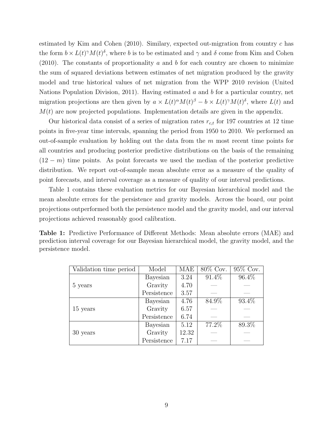estimated by Kim and Cohen  $(2010)$ . Similary, expected out-migration from country c has the form  $b \times L(t)^\gamma M(t)^\delta$ , where b is to be estimated and  $\gamma$  and  $\delta$  come from Kim and Cohen  $(2010)$ . The constants of proportionality a and b for each country are chosen to minimize the sum of squared deviations between estimates of net migration produced by the gravity model and true historical values of net migration from the WPP 2010 revision (United Nations Population Division, 2011). Having estimated a and b for a particular country, net migration projections are then given by  $a \times L(t)^\alpha M(t)^\beta - b \times L(t)^\gamma M(t)^\delta$ , where  $L(t)$  and  $M(t)$  are now projected populations. Implementation details are given in the appendix.

Our historical data consist of a series of migration rates  $r_{c,t}$  for 197 countries at 12 time points in five-year time intervals, spanning the period from 1950 to 2010. We performed an out-of-sample evaluation by holding out the data from the  $m$  most recent time points for all countries and producing posterior predictive distributions on the basis of the remaining  $(12 - m)$  time points. As point forecasts we used the median of the posterior predictive distribution. We report out-of-sample mean absolute error as a measure of the quality of point forecasts, and interval coverage as a measure of quality of our interval predictions.

Table 1 contains these evaluation metrics for our Bayesian hierarchical model and the mean absolute errors for the persistence and gravity models. Across the board, our point projections outperformed both the persistence model and the gravity model, and our interval projections achieved reasonably good calibration.

|                    | <b>Table 1:</b> Predictive Performance of Different Methods: Mean absolute errors (MAE) and  |  |  |  |  |
|--------------------|----------------------------------------------------------------------------------------------|--|--|--|--|
|                    | prediction interval coverage for our Bayesian hierarchical model, the gravity model, and the |  |  |  |  |
| persistence model. |                                                                                              |  |  |  |  |

| Validation time period | Model       | <b>MAE</b> | 80\% Cov. | 95% Cov. |  |
|------------------------|-------------|------------|-----------|----------|--|
|                        | Bayesian    | 3.24       | 91.4%     | 96.4%    |  |
| 5 years                | Gravity     | 4.70       |           |          |  |
|                        | Persistence | 3.57       |           |          |  |
|                        | Bayesian    | 4.76       | 84.9%     | 93.4%    |  |
| 15 years               | Gravity     | 6.57       |           |          |  |
|                        | Persistence | 6.74       |           |          |  |
|                        | Bayesian    | 5.12       | 77.2%     | 89.3%    |  |
| 30 years               | Gravity     | 12.32      |           |          |  |
|                        | Persistence | 7.17       |           |          |  |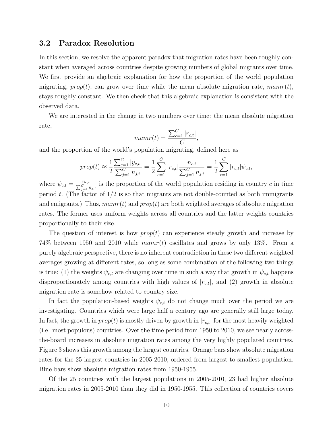### 3.2 Paradox Resolution

In this section, we resolve the apparent paradox that migration rates have been roughly constant when averaged across countries despite growing numbers of global migrants over time. We first provide an algebraic explanation for how the proportion of the world population migrating,  $prop(t)$ , can grow over time while the mean absolute migration rate,  $mamr(t)$ , stays roughly constant. We then check that this algebraic explanation is consistent with the observed data.

We are interested in the change in two numbers over time: the mean absolute migration rate,

$$
mamr(t) = \frac{\sum_{c=1}^{C} |r_{c,t}|}{C},
$$

and the proportion of the world's population migrating, defined here as

$$
prop(t) \approx \frac{1}{2} \frac{\sum_{c=1}^{C} |y_{c,t}|}{\sum_{j=1}^{C} n_{j,t}} = \frac{1}{2} \sum_{c=1}^{C} |r_{c,t}| \frac{n_{c,t}}{\sum_{j=1}^{C} n_{j,t}} = \frac{1}{2} \sum_{c=1}^{C} |r_{c,t}| \psi_{c,t},
$$

where  $\psi_{c,t} = \frac{n_{c,t}}{\sum_{j=1}^{C} n_{j,t}}$  is the proportion of the world population residing in country c in time period t. (The factor of  $1/2$  is so that migrants are not double-counted as both immigrants and emigrants.) Thus,  $mamr(t)$  and  $prop(t)$  are both weighted averages of absolute migration rates. The former uses uniform weights across all countries and the latter weights countries proportionally to their size.

The question of interest is how  $prop(t)$  can experience steady growth and increase by 74% between 1950 and 2010 while  $marr(t)$  oscillates and grows by only 13%. From a purely algebraic perspective, there is no inherent contradiction in these two different weighted averages growing at different rates, so long as some combination of the following two things is true: (1) the weights  $\psi_{c,t}$  are changing over time in such a way that growth in  $\psi_{c,t}$  happens disproportionately among countries with high values of  $|r_{c,t}|$ , and (2) growth in absolute migration rate is somehow related to country size.

In fact the population-based weights  $\psi_{c,t}$  do not change much over the period we are investigating. Countries which were large half a century ago are generally still large today. In fact, the growth in  $prop(t)$  is mostly driven by growth in  $|r_{c,t}|$  for the most heavily weighted (i.e. most populous) countries. Over the time period from 1950 to 2010, we see nearly acrossthe-board increases in absolute migration rates among the very highly populated countries. Figure 3 shows this growth among the largest countries. Orange bars show absolute migration rates for the 25 largest countries in 2005-2010, ordered from largest to smallest population. Blue bars show absolute migration rates from 1950-1955.

Of the 25 countries with the largest populations in 2005-2010, 23 had higher absolute migration rates in 2005-2010 than they did in 1950-1955. This collection of countries covers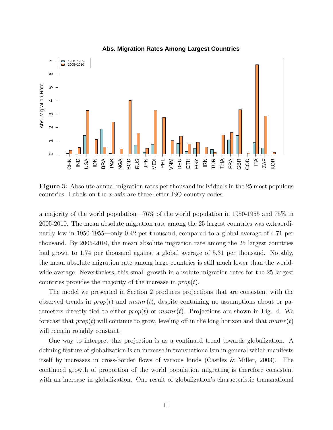

**Abs. Migration Rates Among Largest Countries**

Figure 3: Absolute annual migration rates per thousand individuals in the 25 most populous countries. Labels on the x-axis are three-letter ISO country codes.

a majority of the world population—76% of the world population in 1950-1955 and 75% in 2005-2010. The mean absolute migration rate among the 25 largest countries was extraordinarily low in 1950-1955—only 0.42 per thousand, compared to a global average of 4.71 per thousand. By 2005-2010, the mean absolute migration rate among the 25 largest countries had grown to 1.74 per thousand against a global average of 5.31 per thousand. Notably, the mean absolute migration rate among large countries is still much lower than the worldwide average. Nevertheless, this small growth in absolute migration rates for the 25 largest countries provides the majority of the increase in  $prop(t)$ .

The model we presented in Section 2 produces projections that are consistent with the observed trends in  $prop(t)$  and  $mam(t)$ , despite containing no assumptions about or parameters directly tied to either  $prop(t)$  or  $mamr(t)$ . Projections are shown in Fig. 4. We forecast that  $prop(t)$  will continue to grow, leveling off in the long horizon and that  $mamr(t)$ will remain roughly constant.

One way to interpret this projection is as a continued trend towards globalization. A defining feature of globalization is an increase in transnationalism in general which manifests itself by increases in cross-border flows of various kinds (Castles & Miller, 2003). The continued growth of proportion of the world population migrating is therefore consistent with an increase in globalization. One result of globalization's characteristic transnational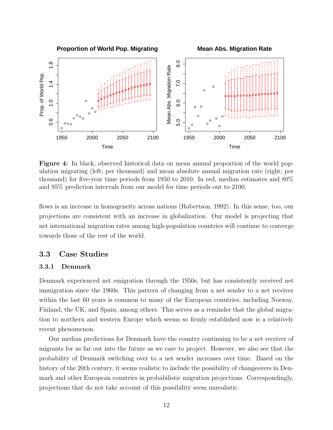

Figure 4: In black, observed historical data on mean annual proportion of the world population migrating (left; per thousand) and mean absolute annual migration rate (right; per thousand) for five-year time periods from 1950 to 2010. In red, median estimates and 80% and 95% prediction intervals from our model for time periods out to 2100.

flows is an increase in homogeneity across nations (Robertson, 1992). In this sense, too, our projections are consistent with an increase in globalization. Our model is projecting that net international migration rates among high-population countries will continue to converge towards those of the rest of the world.

### 3.3 Case Studies

#### 3.3.1 Denmark

Denmark experienced net emigration through the 1950s, but has consistently received net immigration since the 1960s. This pattern of changing from a net sender to a net receiver within the last 60 years is common to many of the European countries, including Norway, Finland, the UK, and Spain, among others. This serves as a reminder that the global migration to northern and western Europe which seems so firmly established now is a relatively recent phenomenon.

Our median predictions for Denmark have the country continuing to be a net receiver of migrants for as far out into the future as we care to project. However, we also see that the probability of Denmark switching over to a net sender increases over time. Based on the history of the 20th century, it seems realistic to include the possibility of changeovers in Denmark and other European countries in probabilistic migration projections. Correspondingly, projections that do not take account of this possibility seem unrealistic.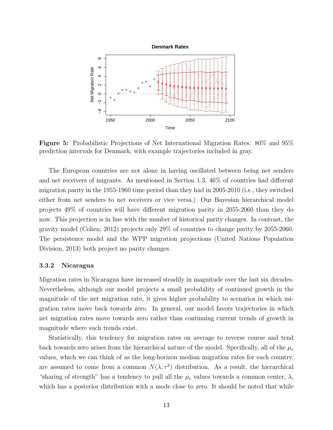

Figure 5: Probabilistic Projections of Net International Migration Rates: 80% and 95% prediction intervals for Denmark, with example trajectories included in gray.

The European countries are not alone in having oscillated between being net senders and net receivers of migrants. As mentioned in Section 1.3, 46% of countries had different migration parity in the 1955-1960 time period than they had in 2005-2010 (i.e., they switched either from net senders to net receivers or vice versa.) Our Bayesian hierarchical model projects 49% of countries will have different migration parity in 2055-2060 than they do now. This projection is in line with the number of historical parity changes. In contrast, the gravity model (Cohen, 2012) projects only 29% of countries to change parity by 2055-2060. The persistence model and the WPP migration projections (United Nations Population Division, 2013) both project no parity changes.

#### 3.3.2 Nicaragua

Migration rates in Nicaragua have increased steadily in magnitude over the last six decades. Nevertheless, although our model projects a small probability of continued growth in the magnitude of the net migration rate, it gives higher probability to scenarios in which migration rates move back towards zero. In general, our model favors trajectories in which net migration rates move towards zero rather than continuing current trends of growth in magnitude where such trends exist.

Statistically, this tendency for migration rates on average to reverse course and tend back towards zero arises from the hierarchical nature of the model. Specifically, all of the  $\mu_c$ values, which we can think of as the long-horizon median migration rates for each country, are assumed to come from a common  $N(\lambda, \tau^2)$  distribution. As a result, the hierarchical "sharing of strength" has a tendency to pull all the  $\mu_c$  values towards a common center,  $\lambda$ , which has a posterior distribution with a mode close to zero. It should be noted that while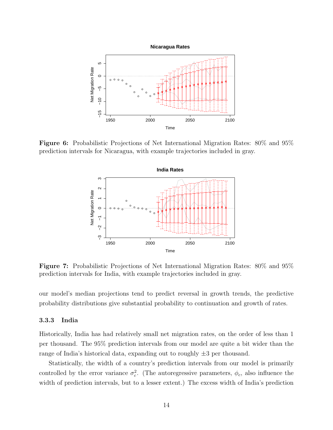

Figure 6: Probabilistic Projections of Net International Migration Rates: 80% and 95% prediction intervals for Nicaragua, with example trajectories included in gray.



Figure 7: Probabilistic Projections of Net International Migration Rates: 80% and 95% prediction intervals for India, with example trajectories included in gray.

our model's median projections tend to predict reversal in growth trends, the predictive probability distributions give substantial probability to continuation and growth of rates.

#### 3.3.3 India

Historically, India has had relatively small net migration rates, on the order of less than 1 per thousand. The 95% prediction intervals from our model are quite a bit wider than the range of India's historical data, expanding out to roughly  $\pm 3$  per thousand.

Statistically, the width of a country's prediction intervals from our model is primarily controlled by the error variance  $\sigma_c^2$ . (The autoregressive parameters,  $\phi_c$ , also influence the width of prediction intervals, but to a lesser extent.) The excess width of India's prediction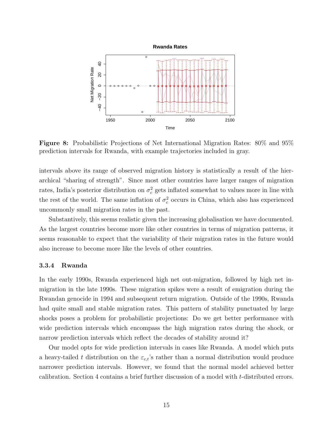

Figure 8: Probabilistic Projections of Net International Migration Rates: 80% and 95% prediction intervals for Rwanda, with example trajectories included in gray.

intervals above its range of observed migration history is statistically a result of the hierarchical "sharing of strength". Since most other countries have larger ranges of migration rates, India's posterior distribution on  $\sigma_c^2$  gets inflated somewhat to values more in line with the rest of the world. The same inflation of  $\sigma_c^2$  occurs in China, which also has experienced uncommonly small migration rates in the past.

Substantively, this seems realistic given the increasing globalisation we have documented. As the largest countries become more like other countries in terms of migration patterns, it seems reasonable to expect that the variability of their migration rates in the future would also increase to become more like the levels of other countries.

#### 3.3.4 Rwanda

In the early 1990s, Rwanda experienced high net out-migration, followed by high net inmigration in the late 1990s. These migration spikes were a result of emigration during the Rwandan genocide in 1994 and subsequent return migration. Outside of the 1990s, Rwanda had quite small and stable migration rates. This pattern of stability punctuated by large shocks poses a problem for probabilistic projections: Do we get better performance with wide prediction intervals which encompass the high migration rates during the shock, or narrow prediction intervals which reflect the decades of stability around it?

Our model opts for wide prediction intervals in cases like Rwanda. A model which puts a heavy-tailed t distribution on the  $\varepsilon_{c,t}$ 's rather than a normal distribution would produce narrower prediction intervals. However, we found that the normal model achieved better calibration. Section 4 contains a brief further discussion of a model with t-distributed errors.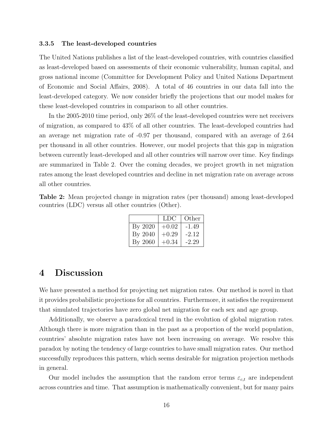#### 3.3.5 The least-developed countries

The United Nations publishes a list of the least-developed countries, with countries classified as least-developed based on assessments of their economic vulnerability, human capital, and gross national income (Committee for Development Policy and United Nations Department of Economic and Social Affairs, 2008). A total of 46 countries in our data fall into the least-developed category. We now consider briefly the projections that our model makes for these least-developed countries in comparison to all other countries.

In the 2005-2010 time period, only 26% of the least-developed countries were net receivers of migration, as compared to 43% of all other countries. The least-developed countries had an average net migration rate of -0.97 per thousand, compared with an average of 2.64 per thousand in all other countries. However, our model projects that this gap in migration between currently least-developed and all other countries will narrow over time. Key findings are summarized in Table 2. Over the coming decades, we project growth in net migration rates among the least developed countries and decline in net migration rate on average across all other countries.

Table 2: Mean projected change in migration rates (per thousand) among least-developed countries (LDC) versus all other countries (Other).

|         | LDC     | Other   |
|---------|---------|---------|
| By 2020 | $+0.02$ | $-1.49$ |
| By 2040 | $+0.29$ | $-2.12$ |
| By 2060 | $+0.34$ | $-2.29$ |

# 4 Discussion

We have presented a method for projecting net migration rates. Our method is novel in that it provides probabilistic projections for all countries. Furthermore, it satisfies the requirement that simulated trajectories have zero global net migration for each sex and age group.

Additionally, we observe a paradoxical trend in the evolution of global migration rates. Although there is more migration than in the past as a proportion of the world population, countries' absolute migration rates have not been increasing on average. We resolve this paradox by noting the tendency of large countries to have small migration rates. Our method successfully reproduces this pattern, which seems desirable for migration projection methods in general.

Our model includes the assumption that the random error terms  $\varepsilon_{c,t}$  are independent across countries and time. That assumption is mathematically convenient, but for many pairs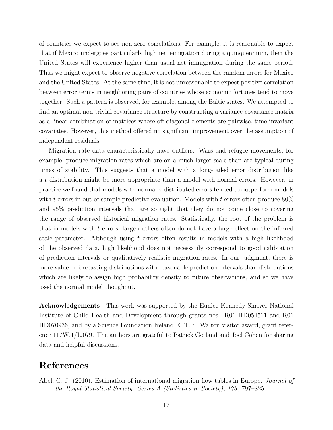of countries we expect to see non-zero correlations. For example, it is reasonable to expect that if Mexico undergoes particularly high net emigration during a quinquennium, then the United States will experience higher than usual net immigration during the same period. Thus we might expect to observe negative correlation between the random errors for Mexico and the United States. At the same time, it is not unreasonable to expect positive correlation between error terms in neighboring pairs of countries whose economic fortunes tend to move together. Such a pattern is observed, for example, among the Baltic states. We attempted to find an optimal non-trivial covariance structure by constructing a variance-covariance matrix as a linear combination of matrices whose off-diagonal elements are pairwise, time-invariant covariates. However, this method offered no significant improvement over the assumption of independent residuals.

Migration rate data characteristically have outliers. Wars and refugee movements, for example, produce migration rates which are on a much larger scale than are typical during times of stability. This suggests that a model with a long-tailed error distribution like a t distribution might be more appropriate than a model with normal errors. However, in practice we found that models with normally distributed errors tended to outperform models with t errors in out-of-sample predictive evaluation. Models with t errors often produce  $80\%$ and 95% prediction intervals that are so tight that they do not come close to covering the range of observed historical migration rates. Statistically, the root of the problem is that in models with  $t$  errors, large outliers often do not have a large effect on the inferred scale parameter. Although using  $t$  errors often results in models with a high likelihood of the observed data, high likelihood does not necessarily correspond to good calibration of prediction intervals or qualitatively realistic migration rates. In our judgment, there is more value in forecasting distributions with reasonable prediction intervals than distributions which are likely to assign high probability density to future observations, and so we have used the normal model thoughout.

Acknowledgements This work was supported by the Eunice Kennedy Shriver National Institute of Child Health and Development through grants nos. R01 HD054511 and R01 HD070936, and by a Science Foundation Ireland E. T. S. Walton visitor award, grant reference 11/W.1/I2079. The authors are grateful to Patrick Gerland and Joel Cohen for sharing data and helpful discussions.

## References

Abel, G. J. (2010). Estimation of international migration flow tables in Europe. *Journal of* the Royal Statistical Society: Series A (Statistics in Society), 173 , 797–825.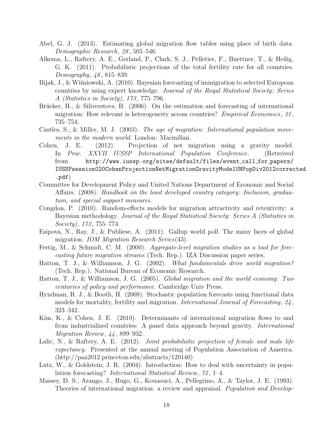- Abel, G. J. (2013). Estimating global migration flow tables using place of birth data. Demographic Research, 28 , 505–546.
- Alkema, L., Raftery, A. E., Gerland, P., Clark, S. J., Pelletier, F., Buettner, T., & Heilig, G. K. (2011). Probabilistic projections of the total fertility rate for all countries. Demography, 48, 815–839.
- Bijak, J., & Wiśniowski, A. (2010). Bayesian forecasting of immigration to selected European countries by using expert knowledge. Journal of the Royal Statistical Society: Series A (Statistics in Society), 173 , 775–796.
- Brücker, H.,  $\&$  Siliverstovs, B. (2006). On the estimation and forecasting of international migration: How relevant is heterogeneity across countries? *Empirical Economics*, 31, 735–754.
- Castles, S., & Miller, M. J. (2003). The age of migration: International population movements in the modern world. London: Macmillan.
- Cohen, J. E. (2012). Projection of net migration using a gravity model. In Proc. XXVII IUSSP International Population Conference. (Retreived from http://www.iussp.org/sites/default/files/event call for papers/ IUSSPsession020CohenProjectionNetMigrationGravityModelUNPopDiv2012corrected .pdf)
- Committee for Development Policy and United Nations Department of Economic and Social Affairs. (2008). Handbook on the least developed country category: Inclusion, graduation, and special support measures.
- Congdon, P. (2010). Random-effects models for migration attractivity and retentivity: a Bayesian methodology. Journal of the Royal Statistical Society: Series A (Statistics in  $Society)$ , 173, 755–774.
- Esipova, N., Ray, J., & Publiese, A. (2011). Gallup world poll. The many faces of global migration. IOM Migration Research Series(43).
- Fertig, M., & Schmidt, C. M. (2000). Aggregate-level migration studies as a tool for forecasting future migration streams (Tech. Rep.). IZA Discussion paper series.
- Hatton, T. J., & Williamson, J. G. (2002). What fundamentals drive world migration? (Tech. Rep.). National Bureau of Economic Research.
- Hatton, T. J., & Williamson, J. G. (2005). Global migration and the world economy: Two centuries of policy and performance. Cambridge Univ Press.
- Hyndman, R. J., & Booth, H. (2008). Stochastic population forecasts using functional data models for mortality, fertility and migration. International Journal of Forecasting, 24 , 323–342.
- Kim, K., & Cohen, J. E. (2010). Determinants of international migration flows to and from industrialized countries: A panel data approach beyond gravity. International Migration Review, 44 , 899–932.
- Lalic, N., & Raftery, A. E. (2012). Joint probabilistic projection of female and male life expectancy. Presented at the annual meeting of Population Association of America. (http://paa2012.princeton.edu/abstracts/120140)
- Lutz, W., & Goldstein, J. R. (2004). Introduction: How to deal with uncertainty in population forecasting? *International Statistical Review*, 72, 1–4.
- Massey, D. S., Arango, J., Hugo, G., Kouaouci, A., Pellegrino, A., & Taylor, J. E. (1993). Theories of international migration: a review and appraisal. Population and Develop-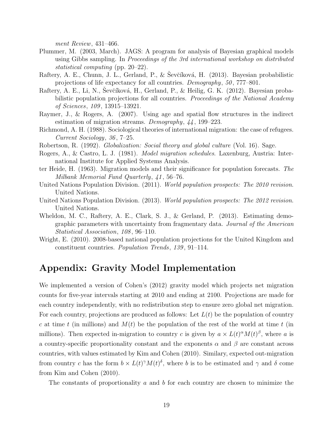ment Review, 431–466.

- Plummer, M. (2003, March). JAGS: A program for analysis of Bayesian graphical models using Gibbs sampling. In Proceedings of the 3rd international workshop on distributed statistical computing (pp. 20–22).
- Raftery, A. E., Chunn, J. L., Gerland, P., & Sevčíková, H. (2013). Bayesian probabilistic projections of life expectancy for all countries. Demography, 50 , 777–801.
- Raftery, A. E., Li, N., Sevčíková, H., Gerland, P., & Heilig, G. K. (2012). Bayesian probabilistic population projections for all countries. Proceedings of the National Academy of Sciences, 109 , 13915–13921.
- Raymer, J., & Rogers, A. (2007). Using age and spatial flow structures in the indirect estimation of migration streams. Demography, 44 , 199–223.
- Richmond, A. H. (1988). Sociological theories of international migration: the case of refugees. Current Sociology, 36 , 7–25.
- Robertson, R. (1992). Globalization: Social theory and global culture (Vol. 16). Sage.
- Rogers, A., & Castro, L. J. (1981). Model migration schedules. Laxenburg, Austria: International Institute for Applied Systems Analysis.
- ter Heide, H. (1963). Migration models and their significance for population forecasts. The Milbank Memorial Fund Quarterly, 41 , 56–76.
- United Nations Population Division. (2011). World population prospects: The 2010 revision. United Nations.
- United Nations Population Division. (2013). World population prospects: The 2012 revision. United Nations.
- Wheldon, M. C., Raftery, A. E., Clark, S. J., & Gerland, P. (2013). Estimating demographic parameters with uncertainty from fragmentary data. Journal of the American Statistical Association, 108, 96–110.
- Wright, E. (2010). 2008-based national population projections for the United Kingdom and constituent countries. Population Trends, 139 , 91–114.

# Appendix: Gravity Model Implementation

We implemented a version of Cohen's (2012) gravity model which projects net migration counts for five-year intervals starting at 2010 and ending at 2100. Projections are made for each country independently, with no redistribution step to ensure zero global net migration. For each country, projections are produced as follows: Let  $L(t)$  be the population of country c at time t (in millions) and  $M(t)$  be the population of the rest of the world at time t (in millions). Then expected in-migration to country c is given by  $a \times L(t)^\alpha M(t)^\beta$ , where a is a country-specific proportionality constant and the exponents  $\alpha$  and  $\beta$  are constant across countries, with values estimated by Kim and Cohen (2010). Similary, expected out-migration from country c has the form  $b \times L(t)^\gamma M(t)^\delta$ , where b is to be estimated and  $\gamma$  and  $\delta$  come from Kim and Cohen (2010).

The constants of proportionality  $a$  and  $b$  for each country are chosen to minimize the